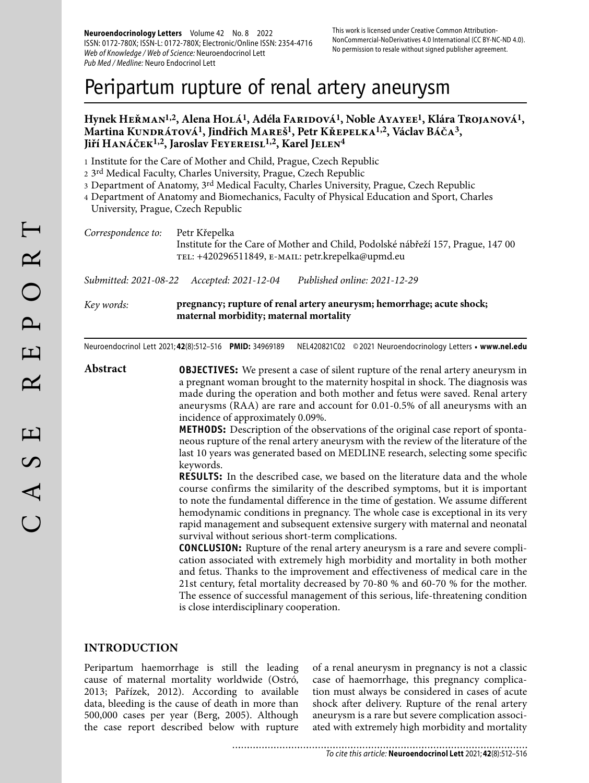**Neuroendocrinology Letters** Volume 42 No. 8 2022 ISSN: 0172-780X; ISSN-L: 0172-780X; Electronic/Online ISSN: 2354-4716 Web of Knowledge / Web of Science: Neuroendocrinol Lett Pub Med / Medline: Neuro Endocrinol Lett

# Peripartum rupture of renal artery aneurysm

## **Hynek Heřman1,2, Alena Holá1, Adéla Faridová1, Noble Ayayee1, Klára Trojanová1,**  Martina Kundrátová<sup>1</sup>, Jindřich Mareš<sup>1</sup>, Petr Křepelka<sup>1,2</sup>, Václav Báča<sup>3</sup>, Jiří Hanáček<sup>1,2</sup>, Jaroslav Feyereisl<sup>1,2</sup>, Karel Jelen<sup>4</sup>

1 Institute for the Care of Mother and Child, Prague, Czech Republic

2 3rd Medical Faculty, Charles University, Prague, Czech Republic

- 3 Department of Anatomy, 3<sup>rd</sup> Medical Faculty, Charles University, Prague, Czech Republic
- 4 Department of Anatomy and Biomechanics, Faculty of Physical Education and Sport, Charles University, Prague, Czech Republic

| Correspondence to: Petr Křepelka |                                                                                  |
|----------------------------------|----------------------------------------------------------------------------------|
|                                  | Institute for the Care of Mother and Child, Podolské nábřeží 157, Prague, 147 00 |
|                                  | тец: +420296511849, E-ман.: petr.krepelka@upmd.eu                                |

*Submitted: 2021-08-22 Accepted: 2021-12-04 Published online: 2021-12-29*

*Key words:* **pregnancy; rupture of renal artery aneurysm; hemorrhage; acute shock; maternal morbidity; maternal mortality** 

Neuroendocrinol Lett 2021; **42**(8):512–516 **PMID:** 34969189 NEL420821C02 © 2021 Neuroendocrinology Letters • **www.nel.edu**

**Abstract OBJECTIVES:** We present a case of silent rupture of the renal artery aneurysm in a pregnant woman brought to the maternity hospital in shock. The diagnosis was made during the operation and both mother and fetus were saved. Renal artery aneurysms (RAA) are rare and account for 0.01-0.5% of all aneurysms with an incidence of approximately 0.09%.

**METHODS:** Description of the observations of the original case report of spontaneous rupture of the renal artery aneurysm with the review of the literature of the last 10 years was generated based on MEDLINE research, selecting some specific keywords.

**RESULTS:** In the described case, we based on the literature data and the whole course confirms the similarity of the described symptoms, but it is important to note the fundamental difference in the time of gestation. We assume different hemodynamic conditions in pregnancy. The whole case is exceptional in its very rapid management and subsequent extensive surgery with maternal and neonatal survival without serious short-term complications.

**CONCLUSION:** Rupture of the renal artery aneurysm is a rare and severe complication associated with extremely high morbidity and mortality in both mother and fetus. Thanks to the improvement and effectiveness of medical care in the 21st century, fetal mortality decreased by 70-80 % and 60-70 % for the mother. The essence of successful management of this serious, life-threatening condition is close interdisciplinary cooperation.

#### **INTRODUCTION**

Peripartum haemorrhage is still the leading cause of maternal mortality worldwide (Ostró, 2013; Pařízek, 2012). According to available data, bleeding is the cause of death in more than 500,000 cases per year (Berg, 2005). Although the case report described below with rupture

of a renal aneurysm in pregnancy is not a classic case of haemorrhage, this pregnancy complication must always be considered in cases of acute shock after delivery. Rupture of the renal artery aneurysm is a rare but severe complication associated with extremely high morbidity and mortality

............................ To cite this article: **Neuroendocrinol Lett** 2021; **42**(8):512–516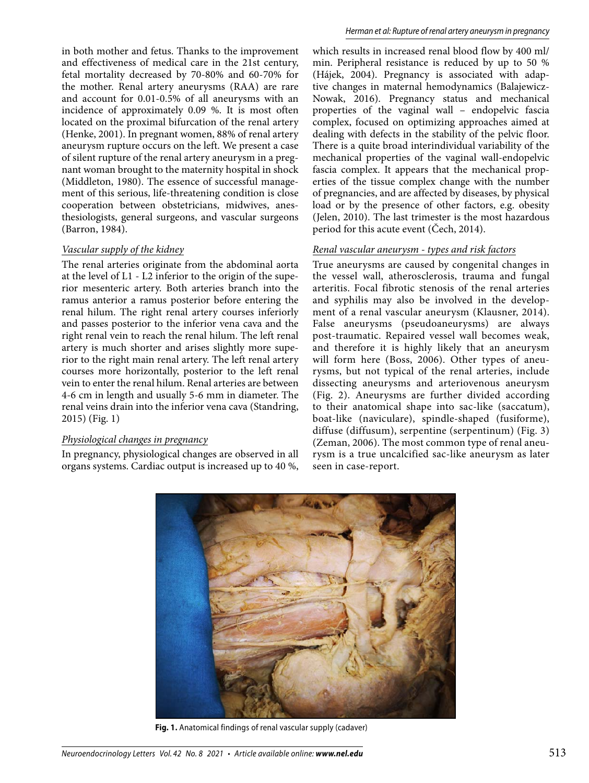in both mother and fetus. Thanks to the improvement and effectiveness of medical care in the 21st century, fetal mortality decreased by 70-80% and 60-70% for the mother. Renal artery aneurysms (RAA) are rare and account for 0.01-0.5% of all aneurysms with an incidence of approximately 0.09 %. It is most often located on the proximal bifurcation of the renal artery (Henke, 2001). In pregnant women, 88% of renal artery aneurysm rupture occurs on the left. We present a case of silent rupture of the renal artery aneurysm in a pregnant woman brought to the maternity hospital in shock (Middleton, 1980). The essence of successful management of this serious, life-threatening condition is close cooperation between obstetricians, midwives, anesthesiologists, general surgeons, and vascular surgeons (Barron, 1984).

#### *Vascular supply of the kidney*

The renal arteries originate from the abdominal aorta at the level of L1 - L2 inferior to the origin of the superior mesenteric artery. Both arteries branch into the ramus anterior a ramus posterior before entering the renal hilum. The right renal artery courses inferiorly and passes posterior to the inferior vena cava and the right renal vein to reach the renal hilum. The left renal artery is much shorter and arises slightly more superior to the right main renal artery. The left renal artery courses more horizontally, posterior to the left renal vein to enter the renal hilum. Renal arteries are between 4-6 cm in length and usually 5-6 mm in diameter. The renal veins drain into the inferior vena cava (Standring, 2015) (Fig. 1)

#### *Physiological changes in pregnancy*

In pregnancy, physiological changes are observed in all organs systems. Cardiac output is increased up to 40 %, which results in increased renal blood flow by 400 ml/ min. Peripheral resistance is reduced by up to 50 % (Hájek, 2004). Pregnancy is associated with adaptive changes in maternal hemodynamics (Balajewicz-Nowak, 2016). Pregnancy status and mechanical properties of the vaginal wall – endopelvic fascia complex, focused on optimizing approaches aimed at dealing with defects in the stability of the pelvic floor. There is a quite broad interindividual variability of the mechanical properties of the vaginal wall-endopelvic fascia complex. It appears that the mechanical properties of the tissue complex change with the number of pregnancies, and are affected by diseases, by physical load or by the presence of other factors, e.g. obesity (Jelen, 2010). The last trimester is the most hazardous period for this acute event (Čech, 2014).

# *Renal vascular aneurysm - types and risk factors*

True aneurysms are caused by congenital changes in the vessel wall, atherosclerosis, trauma and fungal arteritis. Focal fibrotic stenosis of the renal arteries and syphilis may also be involved in the development of a renal vascular aneurysm (Klausner, 2014). False aneurysms (pseudoaneurysms) are always post-traumatic. Repaired vessel wall becomes weak, and therefore it is highly likely that an aneurysm will form here (Boss, 2006). Other types of aneurysms, but not typical of the renal arteries, include dissecting aneurysms and arteriovenous aneurysm (Fig. 2). Aneurysms are further divided according to their anatomical shape into sac-like (saccatum), boat-like (naviculare), spindle-shaped (fusiforme), diffuse (diffusum), serpentine (serpentinum) (Fig. 3) (Zeman, 2006). The most common type of renal aneurysm is a true uncalcified sac-like aneurysm as later seen in case-report.



**Fig. 1.** Anatomical findings of renal vascular supply (cadaver)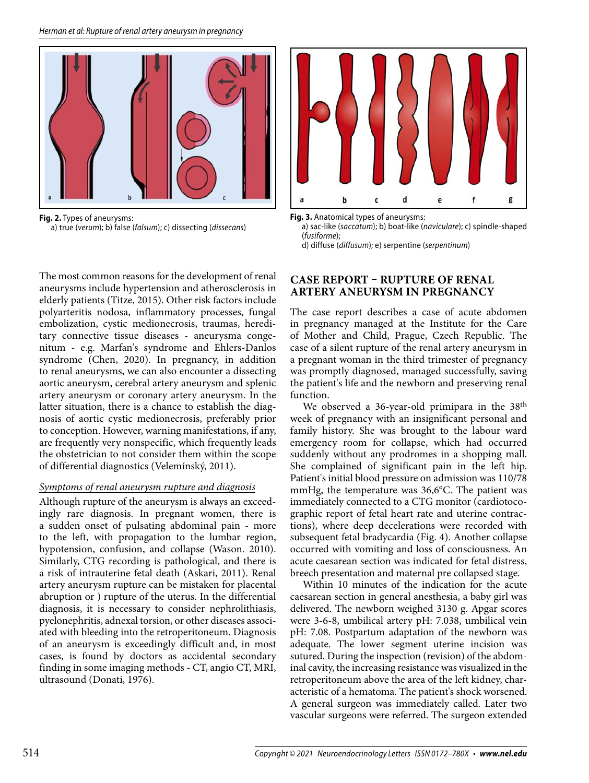

**Fig. 2.** Types of aneurysms: a) true (verum); b) false (falsum); c) dissecting (dissecans)

The most common reasons for the development of renal aneurysms include hypertension and atherosclerosis in elderly patients (Titze, 2015). Other risk factors include polyarteritis nodosa, inflammatory processes, fungal embolization, cystic medionecrosis, traumas, hereditary connective tissue diseases - aneurysma congenitum - e.g. Marfan's syndrome and Ehlers-Danlos syndrome (Chen, 2020). In pregnancy, in addition to renal aneurysms, we can also encounter a dissecting aortic aneurysm, cerebral artery aneurysm and splenic artery aneurysm or coronary artery aneurysm. In the latter situation, there is a chance to establish the diagnosis of aortic cystic medionecrosis, preferably prior to conception. However, warning manifestations, if any, are frequently very nonspecific, which frequently leads the obstetrician to not consider them within the scope of differential diagnostics (Velemínský, 2011).

#### *Symptoms of renal aneurysm rupture and diagnosis*

Although rupture of the aneurysm is always an exceedingly rare diagnosis. In pregnant women, there is a sudden onset of pulsating abdominal pain - more to the left, with propagation to the lumbar region, hypotension, confusion, and collapse (Wason. 2010). Similarly, CTG recording is pathological, and there is a risk of intrauterine fetal death (Askari, 2011). Renal artery aneurysm rupture can be mistaken for placental abruption or ) rupture of the uterus. In the differential diagnosis, it is necessary to consider nephrolithiasis, pyelonephritis, adnexal torsion, or other diseases associated with bleeding into the retroperitoneum. Diagnosis of an aneurysm is exceedingly difficult and, in most cases, is found by doctors as accidental secondary finding in some imaging methods - CT, angio CT, MRI, ultrasound (Donati, 1976).



**Fig. 3.** Anatomical types of aneurysms:

 a) sac-like (saccatum); b) boat-like (naviculare); c) spindle-shaped (fusiforme); d) diffuse (diffusum); e) serpentine (serpentinum)

## **CASE REPORT – RUPTURE OF RENAL ARTERY ANEURYSM IN PREGNANCY**

The case report describes a case of acute abdomen in pregnancy managed at the Institute for the Care of Mother and Child, Prague, Czech Republic. The case of a silent rupture of the renal artery aneurysm in a pregnant woman in the third trimester of pregnancy was promptly diagnosed, managed successfully, saving the patient's life and the newborn and preserving renal function.

We observed a 36-year-old primipara in the 38<sup>th</sup> week of pregnancy with an insignificant personal and family history. She was brought to the labour ward emergency room for collapse, which had occurred suddenly without any prodromes in a shopping mall. She complained of significant pain in the left hip. Patient's initial blood pressure on admission was 110/78 mmHg, the temperature was 36,6°C. The patient was immediately connected to a CTG monitor (cardiotocographic report of fetal heart rate and uterine contractions), where deep decelerations were recorded with subsequent fetal bradycardia (Fig. 4). Another collapse occurred with vomiting and loss of consciousness. An acute caesarean section was indicated for fetal distress, breech presentation and maternal pre collapsed stage.

Within 10 minutes of the indication for the acute caesarean section in general anesthesia, a baby girl was delivered. The newborn weighed 3130 g. Apgar scores were 3-6-8, umbilical artery pH: 7.038, umbilical vein pH: 7.08. Postpartum adaptation of the newborn was adequate. The lower segment uterine incision was sutured. During the inspection (revision) of the abdominal cavity, the increasing resistance was visualized in the retroperitoneum above the area of the left kidney, characteristic of a hematoma. The patient's shock worsened. A general surgeon was immediately called. Later two vascular surgeons were referred. The surgeon extended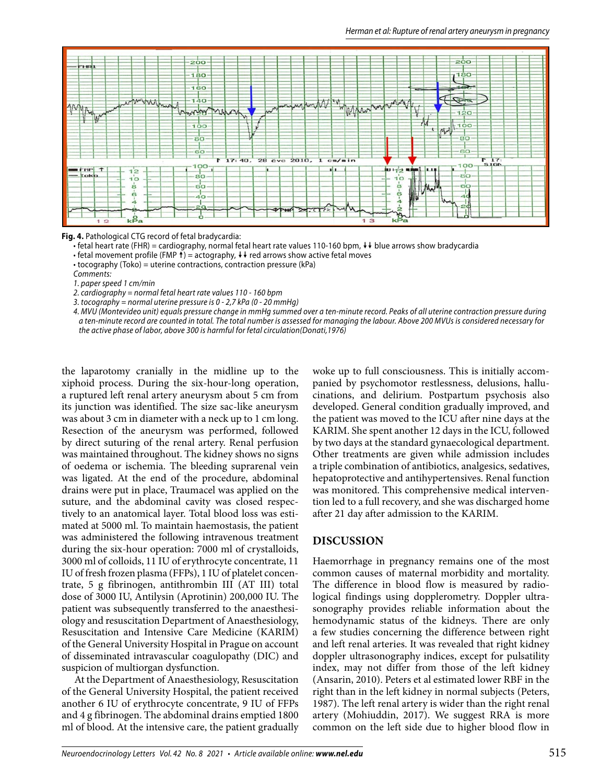

**Fig. 4.** Pathological CTG record of fetal bradycardia:

• fetal heart rate (FHR) = cardiography, normal fetal heart rate values 110-160 bpm,  $\downarrow\downarrow$  blue arrows show bradycardia

• fetal movement profile (FMP  $\dagger$ ) = actography,  $\dagger \dagger$  red arrows show active fetal moves

• tocography (Toko) = uterine contractions, contraction pressure (kPa)

Comments:

1. paper speed 1 cm/min

2. cardiography = normal fetal heart rate values 110 - 160 bpm

3. tocography = normal uterine pressure is 0 - 2,7 kPa (0 - 20 mmHg)

 4. MVU (Montevideo unit) equals pressure change in mmHg summed over a ten-minute record. Peaks of all uterine contraction pressure during a ten-minute record are counted in total. The total number is assessed for managing the labour. Above 200 MVUs is considered necessary for the active phase of labor, above 300 is harmful for fetal circulation(Donati,1976)

the laparotomy cranially in the midline up to the xiphoid process. During the six-hour-long operation, a ruptured left renal artery aneurysm about 5 cm from its junction was identified. The size sac-like aneurysm was about 3 cm in diameter with a neck up to 1 cm long. Resection of the aneurysm was performed, followed by direct suturing of the renal artery. Renal perfusion was maintained throughout. The kidney shows no signs of oedema or ischemia. The bleeding suprarenal vein was ligated. At the end of the procedure, abdominal drains were put in place, Traumacel was applied on the suture, and the abdominal cavity was closed respectively to an anatomical layer. Total blood loss was estimated at 5000 ml. To maintain haemostasis, the patient was administered the following intravenous treatment during the six-hour operation: 7000 ml of crystalloids, 3000 ml of colloids, 11 IU of erythrocyte concentrate, 11 IU of fresh frozen plasma (FFPs), 1 IU of platelet concentrate, 5 g fibrinogen, antithrombin III (AT III) total dose of 3000 IU, Antilysin (Aprotinin) 200,000 IU. The patient was subsequently transferred to the anaesthesiology and resuscitation Department of Anaesthesiology, Resuscitation and Intensive Care Medicine (KARIM) of the General University Hospital in Prague on account of disseminated intravascular coagulopathy (DIC) and suspicion of multiorgan dysfunction.

At the Department of Anaesthesiology, Resuscitation of the General University Hospital, the patient received another 6 IU of erythrocyte concentrate, 9 IU of FFPs and 4 g fibrinogen. The abdominal drains emptied 1800 ml of blood. At the intensive care, the patient gradually

woke up to full consciousness. This is initially accompanied by psychomotor restlessness, delusions, hallucinations, and delirium. Postpartum psychosis also developed. General condition gradually improved, and the patient was moved to the ICU after nine days at the KARIM. She spent another 12 days in the ICU, followed by two days at the standard gynaecological department. Other treatments are given while admission includes a triple combination of antibiotics, analgesics, sedatives, hepatoprotective and antihypertensives. Renal function was monitored. This comprehensive medical intervention led to a full recovery, and she was discharged home after 21 day after admission to the KARIM.

#### **DISCUSSION**

Haemorrhage in pregnancy remains one of the most common causes of maternal morbidity and mortality. The difference in blood flow is measured by radiological findings using dopplerometry. Doppler ultrasonography provides reliable information about the hemodynamic status of the kidneys. There are only a few studies concerning the difference between right and left renal arteries. It was revealed that right kidney doppler ultrasonography indices, except for pulsatility index, may not differ from those of the left kidney (Ansarin, 2010). Peters et al estimated lower RBF in the right than in the left kidney in normal subjects (Peters, 1987). The left renal artery is wider than the right renal artery (Mohiuddin, 2017). We suggest RRA is more common on the left side due to higher blood flow in